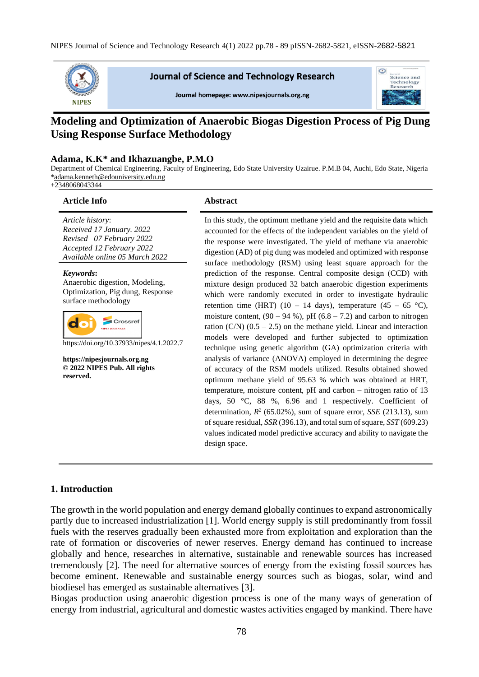

**Journal of Science and Technology Research** 

Journal homepage: www.nipesjournals.org.ng



# **Modeling and Optimization of Anaerobic Biogas Digestion Process of Pig Dung Using Response Surface Methodology**

#### **Adama, K.K\* and Ikhazuangbe, P.M.O**

Department of Chemical Engineering, Faculty of Engineering, Edo State University Uzairue. P.M.B 04, Auchi, Edo State, Nigeria [\\*adama.kenneth@edouniversity.edu.ng](mailto:adama.kenneth@edouniversity.edu.ng)

+2348068043344

#### **Article Info Abstract**

*Article history*: *Received 17 January. 2022 Revised 07 February 2022 Accepted 12 February 2022 Available online 05 March 2022*

*Keywords***:** Anaerobic digestion, Modeling, Optimization, Pig dung, Response surface methodology

|  | <b>Crossref</b><br><b>NIPES JOURNALS</b> |  |
|--|------------------------------------------|--|
|--|------------------------------------------|--|

https://doi.org/10.37933/nipes/4.1.2022.7

**https://nipesjournals.org.ng © 2022 NIPES Pub. All rights reserved.**

In this study, the optimum methane yield and the requisite data which accounted for the effects of the independent variables on the yield of the response were investigated. The yield of methane via anaerobic digestion (AD) of pig dung was modeled and optimized with response surface methodology (RSM) using least square approach for the prediction of the response. Central composite design (CCD) with mixture design produced 32 batch anaerobic digestion experiments which were randomly executed in order to investigate hydraulic retention time (HRT) (10 – 14 days), temperature (45 – 65 °C), moisture content,  $(90 - 94 \%)$ , pH  $(6.8 - 7.2)$  and carbon to nitrogen ration  $(C/N)$   $(0.5 - 2.5)$  on the methane yield. Linear and interaction models were developed and further subjected to optimization technique using genetic algorithm (GA) optimization criteria with analysis of variance (ANOVA) employed in determining the degree of accuracy of the RSM models utilized. Results obtained showed optimum methane yield of 95.63 % which was obtained at HRT, temperature, moisture content, pH and carbon – nitrogen ratio of 13 days, 50 °C, 88 %, 6.96 and 1 respectively. Coefficient of determination,  $R^2$  (65.02%), sum of square error, *SSE* (213.13), sum of square residual, *SSR* (396.13), and total sum of square, *SST* (609.23) values indicated model predictive accuracy and ability to navigate the design space.

#### **1. Introduction**

The growth in the world population and energy demand globally continues to expand astronomically partly due to increased industrialization [1]. World energy supply is still predominantly from fossil fuels with the reserves gradually been exhausted more from exploitation and exploration than the rate of formation or discoveries of newer reserves. Energy demand has continued to increase globally and hence, researches in alternative, sustainable and renewable sources has increased tremendously [2]. The need for alternative sources of energy from the existing fossil sources has become eminent. Renewable and sustainable energy sources such as biogas, solar, wind and biodiesel has emerged as sustainable alternatives [3].

Biogas production using anaerobic digestion process is one of the many ways of generation of energy from industrial, agricultural and domestic wastes activities engaged by mankind. There have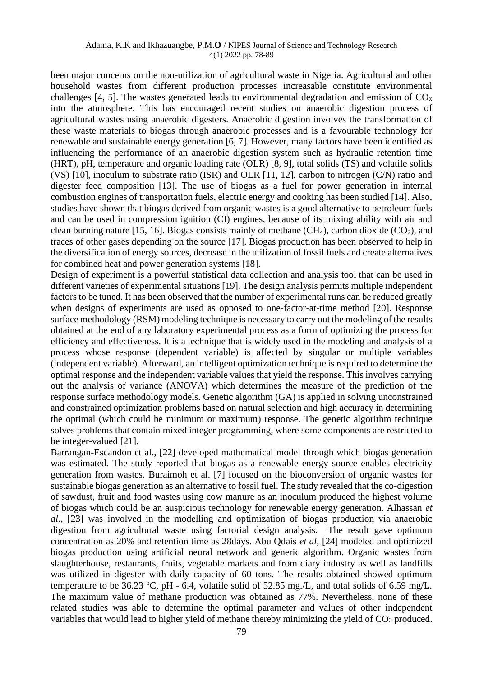#### Adama, K.K and Ikhazuangbe, P.M.**O** / NIPES Journal of Science and Technology Research 4(1) 2022 pp. 78-89

been major concerns on the non-utilization of agricultural waste in Nigeria. Agricultural and other household wastes from different production processes increasable constitute environmental challenges [4, 5]. The wastes generated leads to environmental degradation and emission of  $CO<sub>x</sub>$ into the atmosphere. This has encouraged recent studies on anaerobic digestion process of agricultural wastes using anaerobic digesters. Anaerobic digestion involves the transformation of these waste materials to biogas through anaerobic processes and is a favourable technology for renewable and sustainable energy generation [6, 7]. However, many factors have been identified as influencing the performance of an anaerobic digestion system such as hydraulic retention time (HRT), pH, temperature and organic loading rate (OLR) [8, 9], total solids (TS) and volatile solids (VS) [10], inoculum to substrate ratio (ISR) and OLR [11, 12], carbon to nitrogen (C/N) ratio and digester feed composition [13]. The use of biogas as a fuel for power generation in internal combustion engines of transportation fuels, electric energy and cooking has been studied [14]. Also, studies have shown that biogas derived from organic wastes is a good alternative to petroleum fuels and can be used in compression ignition (CI) engines, because of its mixing ability with air and clean burning nature [15, 16]. Biogas consists mainly of methane  $(CH_4)$ , carbon dioxide  $(CO_2)$ , and traces of other gases depending on the source [17]. Biogas production has been observed to help in the diversification of energy sources, decrease in the utilization of fossil fuels and create alternatives for combined heat and power generation systems [18].

Design of experiment is a powerful statistical [data collection and analysis tool](https://asq.org/quality-resources/data-collection-analysis-tools) that can be used in different varieties of experimental situations [19]. The design analysis permits multiple independent factors to be tuned. It has been observed that the number of experimental runs can be reduced greatly when designs of experiments are used as opposed to one-factor-at-time method [20]. Response surface methodology (RSM) modeling technique is necessary to carry out the modeling of the results obtained at the end of any laboratory experimental process as a form of optimizing the process for efficiency and effectiveness. It is a technique that is widely used in the modeling and analysis of a process whose response (dependent variable) is affected by singular or multiple variables (independent variable). Afterward, an intelligent optimization technique is required to determine the optimal response and the independent variable values that yield the response. This involves carrying out the analysis of variance (ANOVA) which determines the measure of the prediction of the response surface methodology models. Genetic algorithm (GA) is applied in solving unconstrained and constrained optimization problems based on natural selection and high accuracy in determining the optimal (which could be minimum or maximum) response. The genetic algorithm technique solves problems that contain mixed integer programming*,* where some components are restricted to be integer-valued [21].

Barrangan-Escandon et al., [22] developed mathematical model through which biogas generation was estimated. The study reported that biogas as a renewable energy source enables electricity generation from wastes. Buraimoh et al. [7] focused on the bioconversion of organic wastes for sustainable biogas generation as an alternative to fossil fuel. The study revealed that the co-digestion of sawdust, fruit and food wastes using cow manure as an inoculum produced the highest volume of biogas which could be an auspicious technology for renewable energy generation. Alhassan *et al*., [23] was involved in the modelling and optimization of biogas production via anaerobic digestion from agricultural waste using factorial design analysis. The result gave optimum concentration as 20% and retention time as 28days. Abu Qdais *et al*, [24] modeled and optimized biogas production using artificial neural network and generic algorithm. Organic wastes from slaughterhouse, restaurants, fruits, vegetable markets and from diary industry as well as landfills was utilized in digester with daily capacity of 60 tons. The results obtained showed optimum temperature to be 36.23 °C, pH - 6.4, volatile solid of 52.85 mg./L, and total solids of 6.59 mg/L. The maximum value of methane production was obtained as 77%. Nevertheless, none of these related studies was able to determine the optimal parameter and values of other independent variables that would lead to higher yield of methane thereby minimizing the yield of  $CO<sub>2</sub>$  produced.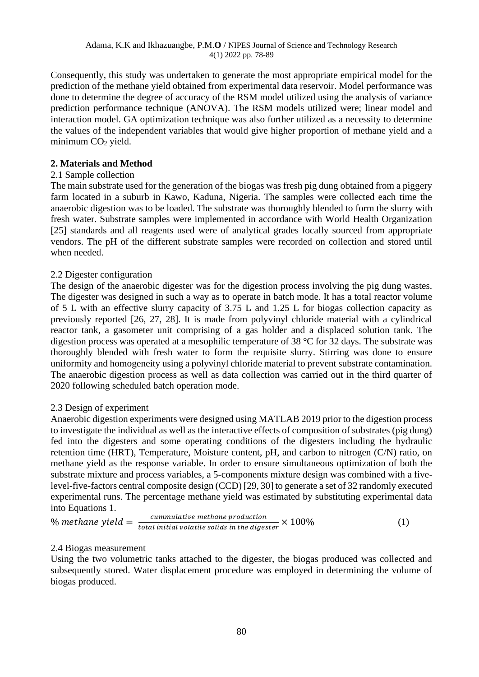Consequently, this study was undertaken to generate the most appropriate empirical model for the prediction of the methane yield obtained from experimental data reservoir. Model performance was done to determine the degree of accuracy of the RSM model utilized using the analysis of variance prediction performance technique (ANOVA). The RSM models utilized were; linear model and interaction model. GA optimization technique was also further utilized as a necessity to determine the values of the independent variables that would give higher proportion of methane yield and a minimum CO<sub>2</sub> yield.

### **2. Materials and Method**

### 2.1 Sample collection

The main substrate used for the generation of the biogas was fresh pig dung obtained from a piggery farm located in a suburb in Kawo, Kaduna, Nigeria. The samples were collected each time the anaerobic digestion was to be loaded. The substrate was thoroughly blended to form the slurry with fresh water. Substrate samples were implemented in accordance with World Health Organization [25] standards and all reagents used were of analytical grades locally sourced from appropriate vendors. The pH of the different substrate samples were recorded on collection and stored until when needed.

### 2.2 Digester configuration

The design of the anaerobic digester was for the digestion process involving the pig dung wastes. The digester was designed in such a way as to operate in batch mode. It has a total reactor volume of 5 L with an effective slurry capacity of 3.75 L and 1.25 L for biogas collection capacity as previously reported [26, 27, 28]. It is made from polyvinyl chloride material with a cylindrical reactor tank, a gasometer unit comprising of a gas holder and a displaced solution tank. The digestion process was operated at a mesophilic temperature of 38 °C for 32 days. The substrate was thoroughly blended with fresh water to form the requisite slurry. Stirring was done to ensure uniformity and homogeneity using a polyvinyl chloride material to prevent substrate contamination. The anaerobic digestion process as well as data collection was carried out in the third quarter of 2020 following scheduled batch operation mode.

### 2.3 Design of experiment

Anaerobic digestion experiments were designed using MATLAB 2019 prior to the digestion process to investigate the individual as well as the interactive effects of composition of substrates (pig dung) fed into the digesters and some operating conditions of the digesters including the hydraulic retention time (HRT), Temperature, Moisture content, pH, and carbon to nitrogen (C/N) ratio, on methane yield as the response variable. In order to ensure simultaneous optimization of both the substrate mixture and process variables, a 5-components mixture design was combined with a fivelevel-five-factors central composite design (CCD) [29, 30] to generate a set of 32 randomly executed experimental runs. The percentage methane yield was estimated by substituting experimental data into Equations 1.

% *methane yield* = 
$$
\frac{cumulative\,methane\,production}{total\,initial\,volatile\,solid\,s\,in\,the\,digester} \times 100\%
$$
 (1)

### 2.4 Biogas measurement

Using the two volumetric tanks attached to the digester, the biogas produced was collected and subsequently stored. Water displacement procedure was employed in determining the volume of biogas produced.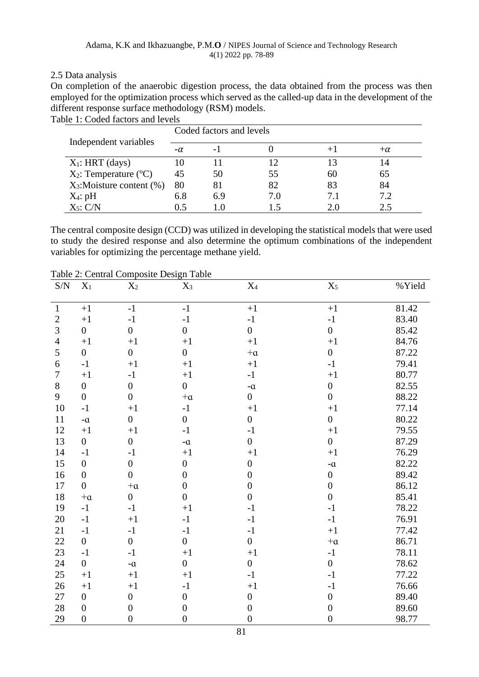### 2.5 Data analysis

On completion of the anaerobic digestion process, the data obtained from the process was then employed for the optimization process which served as the called-up data in the development of the different response surface methodology (RSM) models. Table 1: Coded factors and levels

|                                       |           | Coded factors and levels |     |     |           |
|---------------------------------------|-----------|--------------------------|-----|-----|-----------|
| Independent variables                 | $-\alpha$ | - 1                      |     |     | $+\alpha$ |
| $X_1$ : HRT (days)                    | Ю         |                          |     |     |           |
| $X_2$ : Temperature ( ${}^{\circ}$ C) | 45        | 50                       | 55  | 60  | 65        |
| $X_3$ : Moisture content (%)          | 80        | 81                       | 82  | 83  | 84        |
| $X_4$ : pH                            | 6.8       | 6.9                      | 7.0 | 7.1 | 7.2       |
| $X_5$ : $C/N$                         | 0.5       | l ()                     |     | 2.0 | 2.5       |

The central composite design (CCD) was utilized in developing the statistical models that were used to study the desired response and also determine the optimum combinations of the independent variables for optimizing the percentage methane yield.

| $\ensuremath{\mathrm{S/N}}$ | $\mathbf{X}_1$     | $\,X_2$          | $\mathbf{X}_3$     | $\rm X_4$          | $\mathbf{X}_5$     | %Yield |
|-----------------------------|--------------------|------------------|--------------------|--------------------|--------------------|--------|
|                             |                    |                  |                    |                    |                    |        |
| $\mathbf{1}$                | $+1$               | $-1$             | $-1$               | $+1$               | $+1$               | 81.42  |
| $\sqrt{2}$                  | $+1$               | $-1$             | $-1$               | $-1$               | $^{\rm -1}$        | 83.40  |
| 3                           | $\overline{0}$     | $\boldsymbol{0}$ | $\boldsymbol{0}$   | $\boldsymbol{0}$   | $\boldsymbol{0}$   | 85.42  |
| $\overline{4}$              | $+1$               | $+1$             | $+1$               | $+1$               | $+1$               | 84.76  |
| 5                           | $\boldsymbol{0}$   | $\boldsymbol{0}$ | $\boldsymbol{0}$   | $+\alpha$          | $\boldsymbol{0}$   | 87.22  |
| 6                           | $-1$               | $+1$             | $+1$               | $+1$               | $-1$               | 79.41  |
| $\tau$                      | $+1$               | $-1$             | $+1$               | $-1$               | $+1$               | 80.77  |
| 8                           | $\boldsymbol{0}$   | $\boldsymbol{0}$ | $\boldsymbol{0}$   | $\mathbf{-}\alpha$ | $\boldsymbol{0}$   | 82.55  |
| 9                           | $\boldsymbol{0}$   | $\boldsymbol{0}$ | $+\alpha$          | $\boldsymbol{0}$   | $\boldsymbol{0}$   | 88.22  |
| 10                          | $-1$               | $+1$             | $-1$               | $+1$               | $+1$               | 77.14  |
| 11                          | $\mathbf{-}\alpha$ | $\boldsymbol{0}$ | $\boldsymbol{0}$   | $\boldsymbol{0}$   | $\boldsymbol{0}$   | 80.22  |
| 12                          | $+1$               | $+1$             | $-1$               | $-1$               | $+1$               | 79.55  |
| 13                          | $\boldsymbol{0}$   | $\boldsymbol{0}$ | $\mathbf{-}\alpha$ | $\boldsymbol{0}$   | $\boldsymbol{0}$   | 87.29  |
| 14                          | $-1$               | $-1$             | $+1$               | $+1$               | $+1$               | 76.29  |
| 15                          | $\boldsymbol{0}$   | $\boldsymbol{0}$ | $\boldsymbol{0}$   | $\boldsymbol{0}$   | $\mathbf{-}\alpha$ | 82.22  |
| 16                          | $\boldsymbol{0}$   | $\overline{0}$   | $\boldsymbol{0}$   | $\overline{0}$     | $\boldsymbol{0}$   | 89.42  |
| 17                          | $\boldsymbol{0}$   | $+\alpha$        | $\boldsymbol{0}$   | $\overline{0}$     | $\boldsymbol{0}$   | 86.12  |
| 18                          | $+a$               | $\boldsymbol{0}$ | $\boldsymbol{0}$   | $\overline{0}$     | $\overline{0}$     | 85.41  |
| 19                          | $-1$               | $-1$             | $+1$               | $-1$               | $-1$               | 78.22  |
| 20                          | $-1$               | $+1$             | $-1$               | $-1$               | $-1$               | 76.91  |
| 21                          | $-1$               | $-1$             | $-1$               | $-1$               | $+1$               | 77.42  |
| 22                          | $\boldsymbol{0}$   | $\overline{0}$   | $\overline{0}$     | $\overline{0}$     | $+\alpha$          | 86.71  |
| 23                          | $-1$               | $-1$             | $+1$               | $+1$               | $-1$               | 78.11  |
| 24                          | $\overline{0}$     | $-\alpha$        | $\boldsymbol{0}$   | $\boldsymbol{0}$   | $\overline{0}$     | 78.62  |
| 25                          | $+1$               | $+1$             | $+1$               | $-1$               | $-1$               | 77.22  |
| 26                          | $+1$               | $+1$             | $-1$               | $+1$               | $-1$               | 76.66  |
| 27                          | $\boldsymbol{0}$   | $\boldsymbol{0}$ | $\boldsymbol{0}$   | $\boldsymbol{0}$   | $\boldsymbol{0}$   | 89.40  |
| 28                          | $\boldsymbol{0}$   | $\boldsymbol{0}$ | $\boldsymbol{0}$   | $\boldsymbol{0}$   | $\boldsymbol{0}$   | 89.60  |
| 29                          | $\boldsymbol{0}$   | $\boldsymbol{0}$ | $\boldsymbol{0}$   | $\overline{0}$     | $\boldsymbol{0}$   | 98.77  |

Table 2: Central Composite Design Table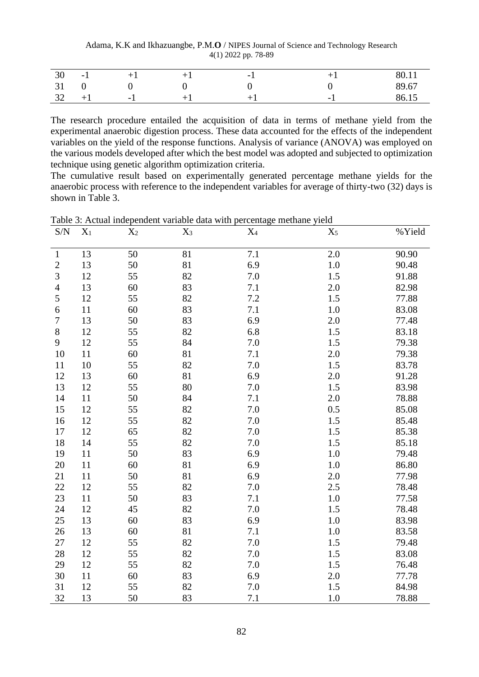Adama, K.K and Ikhazuangbe, P.M.**O** / NIPES Journal of Science and Technology Research 4(1) 2022 pp. 78-89

| 30 | $-1$ |     | - - |                          | 80.11 |
|----|------|-----|-----|--------------------------|-------|
| 31 |      |     |     |                          | 89.67 |
| 32 | $+1$ | - 1 |     | $\overline{\phantom{0}}$ | 86.15 |

The research procedure entailed the acquisition of data in terms of methane yield from the experimental anaerobic digestion process. These data accounted for the effects of the independent variables on the yield of the response functions. Analysis of variance (ANOVA) was employed on the various models developed after which the best model was adopted and subjected to optimization technique using genetic algorithm optimization criteria.

The cumulative result based on experimentally generated percentage methane yields for the anaerobic process with reference to the independent variables for average of thirty-two (32) days is shown in Table 3.

| S/N              | $X_1$ | $X_2$ | $X_3$ | $X_4$ | $X_5$   | %Yield |
|------------------|-------|-------|-------|-------|---------|--------|
|                  |       |       |       |       |         |        |
| $\mathbf{1}$     | 13    | 50    | 81    | 7.1   | 2.0     | 90.90  |
| $\boldsymbol{2}$ | 13    | 50    | 81    | 6.9   | 1.0     | 90.48  |
| 3                | 12    | 55    | 82    | 7.0   | 1.5     | 91.88  |
| $\overline{4}$   | 13    | 60    | 83    | 7.1   | 2.0     | 82.98  |
| 5                | 12    | 55    | 82    | 7.2   | 1.5     | 77.88  |
| 6                | 11    | 60    | 83    | 7.1   | 1.0     | 83.08  |
| $\overline{7}$   | 13    | 50    | 83    | 6.9   | 2.0     | 77.48  |
| $8\,$            | 12    | 55    | 82    | 6.8   | $1.5\,$ | 83.18  |
| 9                | 12    | 55    | 84    | 7.0   | 1.5     | 79.38  |
| 10               | 11    | 60    | 81    | 7.1   | 2.0     | 79.38  |
| 11               | 10    | 55    | 82    | 7.0   | 1.5     | 83.78  |
| 12               | 13    | 60    | 81    | 6.9   | 2.0     | 91.28  |
| 13               | 12    | 55    | 80    | 7.0   | 1.5     | 83.98  |
| 14               | 11    | 50    | 84    | 7.1   | 2.0     | 78.88  |
| 15               | 12    | 55    | 82    | 7.0   | 0.5     | 85.08  |
| 16               | 12    | 55    | 82    | 7.0   | 1.5     | 85.48  |
| 17               | 12    | 65    | 82    | 7.0   | 1.5     | 85.38  |
| 18               | 14    | 55    | 82    | 7.0   | 1.5     | 85.18  |
| 19               | 11    | 50    | 83    | 6.9   | 1.0     | 79.48  |
| 20               | 11    | 60    | 81    | 6.9   | 1.0     | 86.80  |
| 21               | 11    | 50    | 81    | 6.9   | 2.0     | 77.98  |
| 22               | 12    | 55    | 82    | 7.0   | 2.5     | 78.48  |
| 23               | 11    | 50    | 83    | 7.1   | 1.0     | 77.58  |
| 24               | 12    | 45    | 82    | 7.0   | 1.5     | 78.48  |
| 25               | 13    | 60    | 83    | 6.9   | 1.0     | 83.98  |
| 26               | 13    | 60    | 81    | 7.1   | 1.0     | 83.58  |
| 27               | 12    | 55    | 82    | 7.0   | 1.5     | 79.48  |
| 28               | 12    | 55    | 82    | 7.0   | 1.5     | 83.08  |
| 29               | 12    | 55    | 82    | 7.0   | $1.5\,$ | 76.48  |
| 30               | 11    | 60    | 83    | 6.9   | 2.0     | 77.78  |
| 31               | 12    | 55    | 82    | 7.0   | 1.5     | 84.98  |
| 32               | 13    | 50    | 83    | 7.1   | 1.0     | 78.88  |

Table 3: Actual independent variable data with percentage methane yield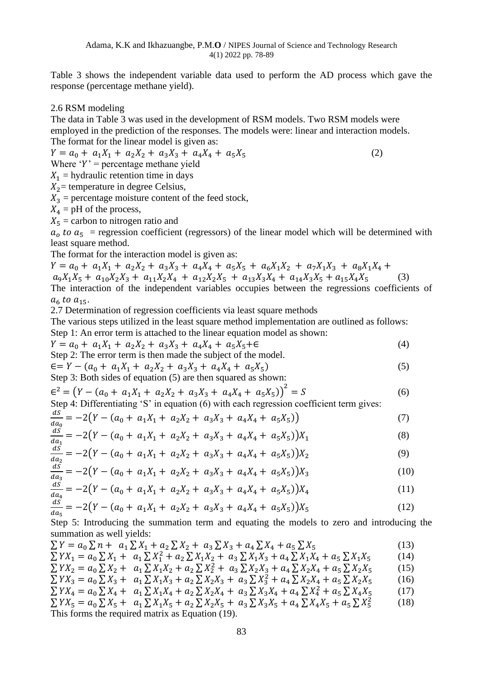Table 3 shows the independent variable data used to perform the AD process which gave the response (percentage methane yield).

#### 2.6 RSM modeling

The data in Table 3 was used in the development of RSM models. Two RSM models were employed in the prediction of the responses. The models were: linear and interaction models. The format for the linear model is given as:

 $Y = a_0 + a_1 X_1 + a_2 X_2 + a_3 X_3 + a_4 X_4 + a_5 X_5$  (2) Where  $Y'$  = percentage methane yield

 $X_1$  = hydraulic retention time in days

 $X_2$ = temperature in degree Celsius,

 $X_3$  = percentage moisture content of the feed stock,

 $X_4$  = pH of the process,

 $X_5$  = carbon to nitrogen ratio and

 $a_0$  to  $a_5$  = regression coefficient (regressors) of the linear model which will be determined with least square method.

The format for the interaction model is given as:

 $Y = a_0 + a_1 X_1 + a_2 X_2 + a_3 X_3 + a_4 X_4 + a_5 X_5 + a_6 X_1 X_2 + a_7 X_1 X_3 + a_8 X_1 X_4 +$  $a_9X_1X_5 + a_{10}X_2X_3 + a_{11}X_2X_4 + a_{12}X_2X_5 + a_{13}X_3X_4 + a_{14}X_3X_5 + a_{15}X_4X_5$  (3) The interaction of the independent variables occupies between the regressions coefficients of  $a_6$  to  $a_{15}$ .

2.7 Determination of regression coefficients via least square methods

The various steps utilized in the least square method implementation are outlined as follows: Step 1: An error term is attached to the linear equation model as shown:

$$
Y = a_0 + a_1 X_1 + a_2 X_2 + a_3 X_3 + a_4 X_4 + a_5 X_5 + \epsilon
$$
\n<sup>(4)</sup>

Step 2: The error term is then made the subject of the model.

$$
\epsilon = Y - (a_0 + a_1 X_1 + a_2 X_2 + a_3 X_3 + a_4 X_4 + a_5 X_5)
$$
\n
$$
\epsilon = Y - (a_0 + a_1 X_1 + a_2 X_2 + a_3 X_3 + a_4 X_4 + a_5 X_5) \tag{5}
$$

Step 3: Both sides of equation (5) are then squared as shown:  

$$
S^2 = (N - (N + N))^{1/2} = (N - (N + N))^{1/2}
$$

$$
\epsilon^2 = \left(Y - (a_0 + a_1 X_1 + a_2 X_2 + a_3 X_3 + a_4 X_4 + a_5 X_5)\right)^2 = S \tag{6}
$$

Step 4: Differentiating 'S' in equation (6) with each regression coefficient term gives:

$$
\frac{dS}{da_0} = -2(Y - (a_0 + a_1X_1 + a_2X_2 + a_3X_3 + a_4X_4 + a_5X_5))
$$
\n(7)

$$
\frac{dS}{da_1} = -2(Y - (a_0 + a_1X_1 + a_2X_2 + a_3X_3 + a_4X_4 + a_5X_5))X_1
$$
\n(8)

$$
\frac{dS}{da_2} = -2(Y - (a_0 + a_1X_1 + a_2X_2 + a_3X_3 + a_4X_4 + a_5X_5))X_2
$$
\n(9)

$$
\frac{dS}{da_3} = -2\big(Y - (a_0 + a_1X_1 + a_2X_2 + a_3X_3 + a_4X_4 + a_5X_5)\big)X_3\tag{10}
$$

$$
\frac{dS}{da_4} = -2(Y - (a_0 + a_1X_1 + a_2X_2 + a_3X_3 + a_4X_4 + a_5X_5))X_4
$$
\n(11)

$$
\frac{dS}{da_5} = -2(Y - (a_0 + a_1X_1 + a_2X_2 + a_3X_3 + a_4X_4 + a_5X_5))X_5
$$
\n(12)

Step 5: Introducing the summation term and equating the models to zero and introducing the summation as well yields:

$$
\sum Y = a_0 \sum n + a_1 \sum X_1 + a_2 \sum X_2 + a_3 \sum X_3 + a_4 \sum X_4 + a_5 \sum X_5
$$
\n(13)

$$
\sum YX_1 = a_0 \sum X_1 + a_1 \sum X_1^2 + a_2 \sum X_1 X_2 + a_3 \sum X_1 X_3 + a_4 \sum X_1 X_4 + a_5 \sum X_1 X_5
$$
\n
$$
\sum YX_2 = a_0 \sum X_2 + a_1 \sum X_1 X_2 + a_2 \sum X_2^2 + a_3 \sum X_2 X_3 + a_4 \sum X_2 X_4 + a_5 \sum X_2 X_5
$$
\n
$$
\sum YX_2 = a_0 \sum Y_1 + a_1 \sum Y_2 X_3 + a_2 \sum Y_3 X_4 + a_3 \sum Y_4 X_5
$$
\n(14)

$$
\sum YX_3 = a_0 \sum X_3 + a_1 \sum X_1 X_3 + a_2 \sum X_2 X_3 + a_3 \sum X_3^2 + a_4 \sum X_2 X_4 + a_5 \sum X_2 X_5
$$
 (16)

$$
\sum YX_4 = a_0 \sum X_4 + a_1 \sum X_1 X_4 + a_2 \sum X_2 X_4 + a_3 \sum X_3 X_4 + a_4 \sum X_4^2 + a_5 \sum X_4 X_5
$$
 (17)  

$$
\sum YX_5 = a_0 \sum X_5 + a_1 \sum X_1 X_5 + a_2 \sum X_2 X_5 + a_3 \sum X_3 X_5 + a_4 \sum X_4 X_5 + a_5 \sum X_5^2
$$
 (18)

This forms the required matrix as Equation (19).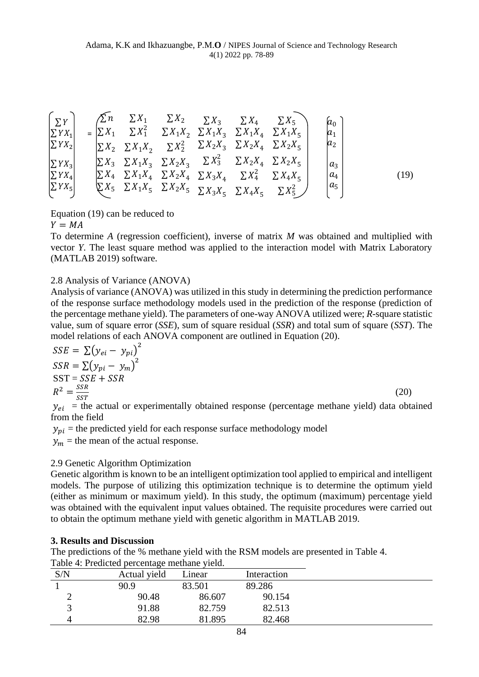$$
\begin{bmatrix}\n\Sigma Y \\
\Sigma Y X_1 \\
\Sigma Y X_2 \\
\Sigma Y X_2 \\
\Sigma Y X_3 \\
\Sigma Y X_4 \\
\Sigma Y X_5\n\end{bmatrix} = \begin{bmatrix}\n\sum n & \Sigma X_1 & \Sigma X_2 & \Sigma X_3 & \Sigma X_4 & \Sigma X_5 \\
\Sigma X_1 & \Sigma X_1^2 & \Sigma X_1 X_2 & \Sigma X_1 X_3 & \Sigma X_1 X_4 & \Sigma X_1 X_5 \\
\Sigma X_2 & \Sigma X_1 X_2 & \Sigma X_2^2 & \Sigma X_2 X_3 & \Sigma X_2 X_4 & \Sigma X_2 X_5 \\
\Sigma Y X_3 & \Sigma X_1 X_3 & \Sigma X_2 X_3 & \Sigma X_2^2 & \Sigma X_2 X_4 & \Sigma X_2 X_5 \\
\Sigma Y X_4 & \Sigma X_4 & \Sigma X_2 X_4 & \Sigma X_3 X_4 & \Sigma X_4^2 & \Sigma X_4 X_5 \\
\Sigma Y X_5 & \Sigma X_1 X_5 & \Sigma X_2 X_5 & \Sigma X_3 X_5 & \Sigma X_4 X_5 & \Sigma X_5^2\n\end{bmatrix} = \begin{bmatrix}\na_0 \\
a_1 \\
a_2 \\
a_3 \\
a_4 \\
a_5 \\
a_6\n\end{bmatrix}
$$
\n(19)

Equation (19) can be reduced to

 $Y = MA$ 

To determine *A* (regression coefficient), inverse of matrix *M* was obtained and multiplied with vector *Y*. The least square method was applied to the interaction model with Matrix Laboratory (MATLAB 2019) software.

### 2.8 Analysis of Variance (ANOVA)

Analysis of variance (ANOVA) was utilized in this study in determining the prediction performance of the response surface methodology models used in the prediction of the response (prediction of the percentage methane yield). The parameters of one-way ANOVA utilized were; *R*-square statistic value, sum of square error (*SSE*), sum of square residual (*SSR*) and total sum of square (*SST*). The model relations of each ANOVA component are outlined in Equation (20).

$$
SSE = \sum (y_{ei} - y_{pi})^2
$$
  
\n
$$
SSR = \sum (y_{pi} - y_{m})^2
$$
  
\n
$$
SST = SSE + SSR
$$
  
\n
$$
R^2 = \frac{SSR}{SST}
$$
 (20)  
\n
$$
y_{ei} = \text{the actual or experimentally obtained response (percentage method) data obtain}
$$

 $y_{ei}$  = the actual or experimentally obtained response (percentage methane yield) data obtained from the field

 $y_{pi}$  = the predicted yield for each response surface methodology model

 $y_m$  = the mean of the actual response.

## 2.9 Genetic Algorithm Optimization

Genetic algorithm is known to be an intelligent optimization tool applied to empirical and intelligent models. The purpose of utilizing this optimization technique is to determine the optimum yield (either as minimum or maximum yield). In this study, the optimum (maximum) percentage yield was obtained with the equivalent input values obtained. The requisite procedures were carried out to obtain the optimum methane yield with genetic algorithm in MATLAB 2019.

### **3. Results and Discussion**

The predictions of the % methane yield with the RSM models are presented in Table 4. Table 4: Predicted percentage methane yield.

| S/N | Actual yield | $\angle$ inear | Interaction |  |
|-----|--------------|----------------|-------------|--|
|     | 90.9         | 83.501         | 89.286      |  |
|     | 90.48        | 86.607         | 90.154      |  |
|     | 91.88        | 82.759         | 82.513      |  |
|     | 82.98        | 81.895         | 82.468      |  |
|     |              |                |             |  |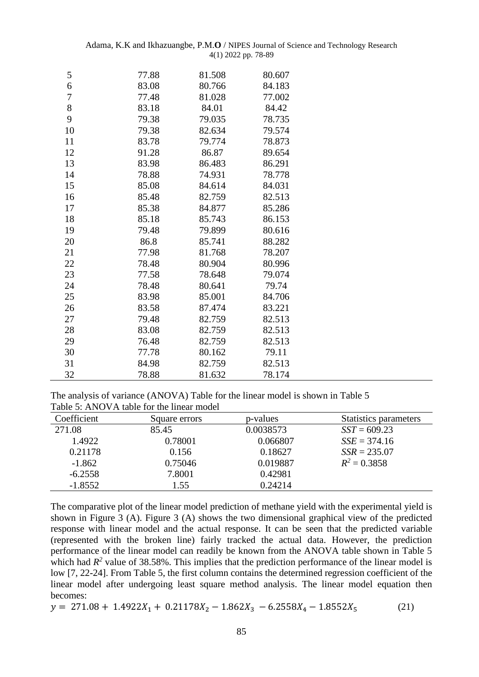|  | Adama, K.K and Ikhazuangbe, $P.M.O/NIPES$ Journal of Science and Technology Research |  |  |  |
|--|--------------------------------------------------------------------------------------|--|--|--|
|  | $4(1)$ 2022 pp. 78-89                                                                |  |  |  |

| 5  | 77.88 | 81.508 | 80.607 |  |
|----|-------|--------|--------|--|
| 6  | 83.08 | 80.766 | 84.183 |  |
| 7  | 77.48 | 81.028 | 77.002 |  |
| 8  | 83.18 | 84.01  | 84.42  |  |
| 9  | 79.38 | 79.035 | 78.735 |  |
| 10 | 79.38 | 82.634 | 79.574 |  |
| 11 | 83.78 | 79.774 | 78.873 |  |
| 12 | 91.28 | 86.87  | 89.654 |  |
| 13 | 83.98 | 86.483 | 86.291 |  |
| 14 | 78.88 | 74.931 | 78.778 |  |
| 15 | 85.08 | 84.614 | 84.031 |  |
| 16 | 85.48 | 82.759 | 82.513 |  |
| 17 | 85.38 | 84.877 | 85.286 |  |
| 18 | 85.18 | 85.743 | 86.153 |  |
| 19 | 79.48 | 79.899 | 80.616 |  |
| 20 | 86.8  | 85.741 | 88.282 |  |
| 21 | 77.98 | 81.768 | 78.207 |  |
| 22 | 78.48 | 80.904 | 80.996 |  |
| 23 | 77.58 | 78.648 | 79.074 |  |
| 24 | 78.48 | 80.641 | 79.74  |  |
| 25 | 83.98 | 85.001 | 84.706 |  |
| 26 | 83.58 | 87.474 | 83.221 |  |
| 27 | 79.48 | 82.759 | 82.513 |  |
| 28 | 83.08 | 82.759 | 82.513 |  |
| 29 | 76.48 | 82.759 | 82.513 |  |
| 30 | 77.78 | 80.162 | 79.11  |  |
| 31 | 84.98 | 82.759 | 82.513 |  |
| 32 | 78.88 | 81.632 | 78.174 |  |

The analysis of variance (ANOVA) Table for the linear model is shown in Table 5 Table 5: ANOVA table for the linear model

| Coefficient | Square errors | p-values  | <b>Statistics parameters</b> |
|-------------|---------------|-----------|------------------------------|
| 271.08      | 85.45         | 0.0038573 | $SST = 609.23$               |
| 1.4922      | 0.78001       | 0.066807  | $SSE = 374.16$               |
| 0.21178     | 0.156         | 0.18627   | $SSR = 235.07$               |
| $-1.862$    | 0.75046       | 0.019887  | $R^2 = 0.3858$               |
| $-6.2558$   | 7.8001        | 0.42981   |                              |
| $-1.8552$   | 1.55          | 0.24214   |                              |

The comparative plot of the linear model prediction of methane yield with the experimental yield is shown in Figure 3 (A). Figure 3 (A) shows the two dimensional graphical view of the predicted response with linear model and the actual response. It can be seen that the predicted variable (represented with the broken line) fairly tracked the actual data. However, the prediction performance of the linear model can readily be known from the ANOVA table shown in Table 5 which had  $R^2$  value of 38.58%. This implies that the prediction performance of the linear model is low [7, 22-24]. From Table 5, the first column contains the determined regression coefficient of the linear model after undergoing least square method analysis. The linear model equation then becomes:

$$
y = 271.08 + 1.4922X_1 + 0.21178X_2 - 1.862X_3 - 6.2558X_4 - 1.8552X_5 \tag{21}
$$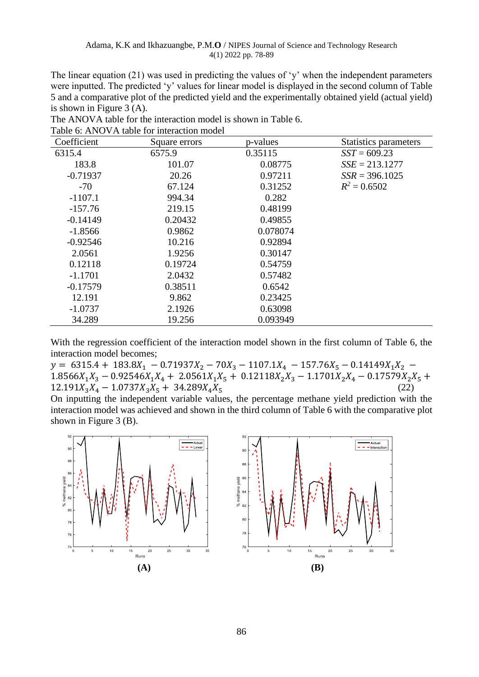The linear equation (21) was used in predicting the values of 'y' when the independent parameters were inputted. The predicted 'y' values for linear model is displayed in the second column of Table 5 and a comparative plot of the predicted yield and the experimentally obtained yield (actual yield) is shown in Figure 3 (A).

| Coefficient | Square errors | p-values | Statistics parameters |
|-------------|---------------|----------|-----------------------|
| 6315.4      | 6575.9        | 0.35115  | $SST = 609.23$        |
| 183.8       | 101.07        | 0.08775  | $SSE = 213.1277$      |
| $-0.71937$  | 20.26         | 0.97211  | $SSR = 396.1025$      |
| $-70$       | 67.124        | 0.31252  | $R^2 = 0.6502$        |
| $-1107.1$   | 994.34        | 0.282    |                       |
| $-157.76$   | 219.15        | 0.48199  |                       |
| $-0.14149$  | 0.20432       | 0.49855  |                       |
| $-1.8566$   | 0.9862        | 0.078074 |                       |
| $-0.92546$  | 10.216        | 0.92894  |                       |
| 2.0561      | 1.9256        | 0.30147  |                       |
| 0.12118     | 0.19724       | 0.54759  |                       |
| $-1.1701$   | 2.0432        | 0.57482  |                       |
| $-0.17579$  | 0.38511       | 0.6542   |                       |
| 12.191      | 9.862         | 0.23425  |                       |
| $-1.0737$   | 2.1926        | 0.63098  |                       |
| 34.289      | 19.256        | 0.093949 |                       |

The ANOVA table for the interaction model is shown in Table 6. Table 6: ANOVA table for interaction model

With the regression coefficient of the interaction model shown in the first column of Table 6, the interaction model becomes;

 $y = 6315.4 + 183.8X_1 - 0.71937X_2 - 70X_3 - 1107.1X_4 - 157.76X_5 - 0.14149X_1X_2$  $1.8566X_1X_3 - 0.92546X_1X_4 + 2.0561X_1X_5 + 0.12118X_2X_3 - 1.1701X_2X_4 - 0.17579X_2X_5 +$  $12.191X_3X_4 - 1.0737X_3X_5 + 34.289X_4X_5$  (22)

On inputting the independent variable values, the percentage methane yield prediction with the interaction model was achieved and shown in the third column of Table 6 with the comparative plot shown in Figure 3 (B).

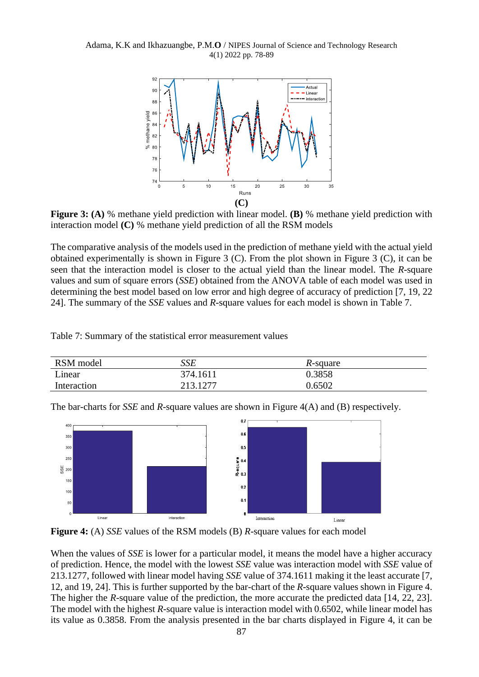Adama, K.K and Ikhazuangbe, P.M.**O** / NIPES Journal of Science and Technology Research 4(1) 2022 pp. 78-89



**Figure 3: (A)** % methane yield prediction with linear model. **(B)** % methane yield prediction with interaction model **(C)** % methane yield prediction of all the RSM models

The comparative analysis of the models used in the prediction of methane yield with the actual yield obtained experimentally is shown in Figure 3 (C). From the plot shown in Figure 3 (C), it can be seen that the interaction model is closer to the actual yield than the linear model. The *R*-square values and sum of square errors (*SSE*) obtained from the ANOVA table of each model was used in determining the best model based on low error and high degree of accuracy of prediction [7, 19, 22 24]. The summary of the *SSE* values and *R*-square values for each model is shown in Table 7.

Table 7: Summary of the statistical error measurement values

| RSM model   | SSE      | R-square |
|-------------|----------|----------|
| Linear      | 374.1611 | 0.3858   |
| Interaction | 213.1277 | 0.6502   |

The bar-charts for *SSE* and *R*-square values are shown in Figure 4(A) and (B) respectively.



**Figure 4:** (A) *SSE* values of the RSM models (B) *R*-square values for each model

When the values of *SSE* is lower for a particular model, it means the model have a higher accuracy of prediction. Hence, the model with the lowest *SSE* value was interaction model with *SSE* value of 213.1277, followed with linear model having *SSE* value of 374.1611 making it the least accurate [7, 12, and 19, 24]. This is further supported by the bar-chart of the *R*-square values shown in Figure 4. The higher the *R*-square value of the prediction, the more accurate the predicted data [14, 22, 23]. The model with the highest *R*-square value is interaction model with 0.6502, while linear model has its value as 0.3858. From the analysis presented in the bar charts displayed in Figure 4, it can be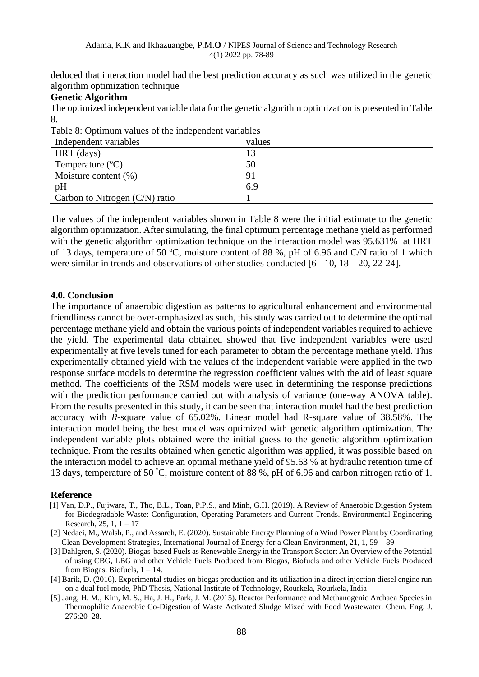deduced that interaction model had the best prediction accuracy as such was utilized in the genetic algorithm optimization technique

### **Genetic Algorithm**

The optimized independent variable data for the genetic algorithm optimization is presented in Table 8.

| Table 8: Optimum values of the independent variables |        |  |
|------------------------------------------------------|--------|--|
| Independent variables                                | values |  |
| HRT (days)                                           |        |  |
| Temperature $(^{\circ}C)$                            | 50     |  |
| Moisture content $(\%)$                              | 91     |  |
| pH                                                   | 6.9    |  |
| Carbon to Nitrogen $(C/N)$ ratio                     |        |  |

The values of the independent variables shown in Table 8 were the initial estimate to the genetic algorithm optimization. After simulating, the final optimum percentage methane yield as performed with the genetic algorithm optimization technique on the interaction model was 95.631% at HRT of 13 days, temperature of 50  $^{\circ}$ C, moisture content of 88 %, pH of 6.96 and C/N ratio of 1 which were similar in trends and observations of other studies conducted [6 - 10, 18 – 20, 22-24].

#### **4.0. Conclusion**

The importance of anaerobic digestion as patterns to agricultural enhancement and environmental friendliness cannot be over-emphasized as such, this study was carried out to determine the optimal percentage methane yield and obtain the various points of independent variables required to achieve the yield. The experimental data obtained showed that five independent variables were used experimentally at five levels tuned for each parameter to obtain the percentage methane yield. This experimentally obtained yield with the values of the independent variable were applied in the two response surface models to determine the regression coefficient values with the aid of least square method. The coefficients of the RSM models were used in determining the response predictions with the prediction performance carried out with analysis of variance (one-way ANOVA table). From the results presented in this study, it can be seen that interaction model had the best prediction accuracy with *R*-square value of 65.02%. Linear model had R-square value of 38.58%. The interaction model being the best model was optimized with genetic algorithm optimization. The independent variable plots obtained were the initial guess to the genetic algorithm optimization technique. From the results obtained when genetic algorithm was applied, it was possible based on the interaction model to achieve an optimal methane yield of 95.63 % at hydraulic retention time of 13 days, temperature of 50 °C, moisture content of 88 %, pH of 6.96 and carbon nitrogen ratio of 1.

#### **Reference**

- [1] Van, D.P., Fujiwara, T., Tho, B.L., Toan, P.P.S., and Minh, G.H. (2019). A Review of Anaerobic Digestion System for Biodegradable Waste: Configuration, Operating Parameters and Current Trends. Environmental Engineering Research, 25, 1, 1 – 17
- [2] Nedaei, M., Walsh, P., and Assareh, E. (2020). Sustainable Energy Planning of a Wind Power Plant by Coordinating Clean Development Strategies, International Journal of Energy for a Clean Environment, 21, 1, 59 – 89
- [3] Dahlgren, S. (2020). Biogas-based Fuels as Renewable Energy in the Transport Sector: An Overview of the Potential of using CBG, LBG and other Vehicle Fuels Produced from Biogas, Biofuels and other Vehicle Fuels Produced from Biogas. Biofuels,  $1 - 14$ .
- [4] Barik, D. (2016). Experimental studies on biogas production and its utilization in a direct injection diesel engine run on a dual fuel mode, PhD Thesis, National Institute of Technology, Rourkela, Rourkela, India
- [5] Jang, H. M., Kim, M. S., Ha, J. H., Park, J. M. (2015). Reactor Performance and Methanogenic Archaea Species in Thermophilic Anaerobic Co-Digestion of Waste Activated Sludge Mixed with Food Wastewater. Chem. Eng. J. 276:20–28.